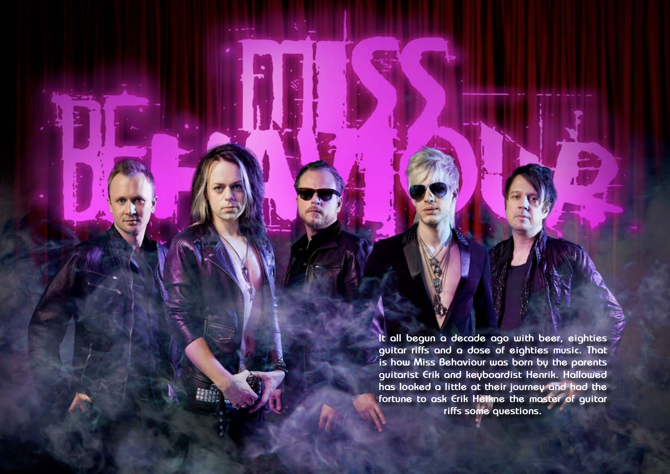**It all begun a decade ago with beer, eighties guitar riffs and a dose of eighties music. That is how Miss Behaviour was born by the parents guitarist Erik and keyboardist Henrik. Hallowed has looked a little at their journey and had the fortune to ask Erik Heikne the master of guitar riffs some questions.**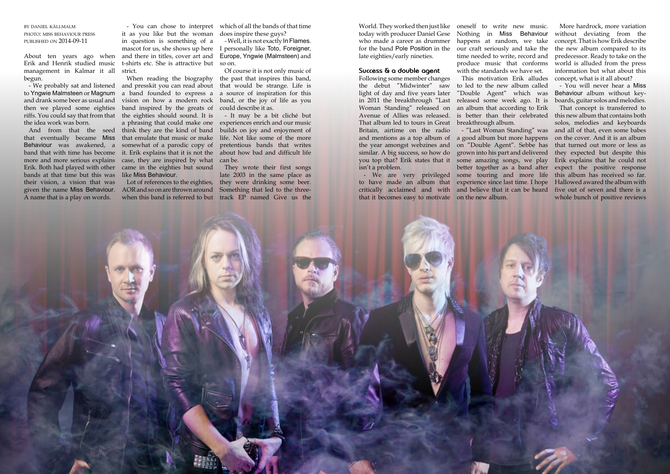

## by daniel källmalm photo: miss behaviour press published on 2014-09-11

About ten years ago when Erik and Henrik studied music management in Kalmar it all begun.

to Yngwie Malmsteen or Magnum and drank some beer as usual and then we played some eighties the idea work was born.

that eventually became Miss Behaviour was awakened, a band that with time has become more and more serious explains Erik. Both had played with other bands at that time but this was their vision, a vision that was given the name Miss Behaviour. A name that is a play on words.

- We probably sat and listened and presskit you can read about riffs. You could say that from that the eighties should sound. It is And from that the seed think they are the kind of band When reading the biography a band founded to express a vision on how a modern rock band inspired by the greats of a phrasing that could make one that emulate that music or make somewhat of a parodic copy of it. Erik explains that it is not the case, they are inspired by what came in the eighties but sound like Miss Behaviour.

- You can chose to interpret it as you like but the woman in question is something of a mascot for us, she shows up here and there in titles, cover art and t-shirts etc. She is attractive but strict.

which of all the bands of that time does inspire these guys?

- Well, it is not exactly In Flames. I personally like Toto, Foreigner, Europe, Yngwie (Malmsteen) and so on.

Of course it is not only music of the past that inspires this band, that would be strange. Life is a source of inspiration for this band, or the joy of life as you could describe it as.

Lot of references to the eighties, AOR and so on are thrown around when this band is referred to but track EP named Give us the

- It may be a bit cliché but experiences enrich and our music builds on joy and enjoyment of life. Not like some of the more pretentious bands that writes about how bad and difficult life can be.

They wrote their first songs late 2003 in the same place as they were drinking some beer. Something that led to the three-

World. They worked then just like oneself to write new music. today with producer Daniel Gese who made a career as drummer happens at random, we take for the band Pole Position in the late eighties/early nineties.

## **Success & a double agent**

Following some member changes the debut "Midwinter" saw to led to the new album called light of day and five years later in 2011 the breakthrough "Last Woman Standing" released on an album that according to Erik Avenue of Allies was released. That album led to tours in Great breakthrough album. Britain, airtime on the radio and mentions as a top album of a good album but more happens the year amongst webzines and similar. A big success, so how do you top that? Erik states that it some amazing songs, we play isn't a problem.

Nothing in Miss Behaviour our craft seriously and take the time needed to write, record and produce music that conforms with the standards we have set.

- We are very privileged some touring and more life on "Double Agent". Sebbe has grown into his part and delivered

This motivation Erik alludes "Double Agent" which was released some week ago. It is is better than their celebrated

to have made an album that experience since last time. I hope critically acclaimed and with and believe that it can be heard five out of seven and there is a that it becomes easy to motivate on the new album.

More hardrock, more variation without deviating from the concept. That is how Erik describe the new album compared to its predecessor. Ready to take on the world is alluded from the press information but what about this concept, what is it all about?

- "Last Woman Standing" was and all of that, even some babes better together as a band after expect the positive response That concept is transferred to this new album that contains both solos, melodies and keyboards on the cover. And it is an album that turned out more or less as they expected but despite this Erik explains that he could not this album has received so far. Hallowed awared the album with whole bunch of positive reviews

- You will never hear a Miss Behaviour album without keyboards, guitar solos and melodies.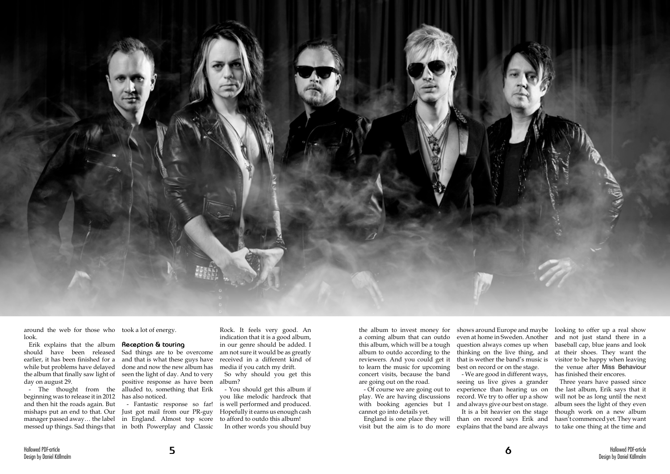

around the web for those who took a lot of energy. look.

Erik explains that the album should have been released earlier, it has been finished for a while but problems have delayed the album that finally saw light of day on august 29.

beginning was to release it in 2012 and then hit the roads again. But

- The thought from the alluded to, something that Erik Sad things are to be overcome and that is what these guys have done and now the new album has seen the light of day. And to very positive response as have been has also noticed.

## **Reception & touring**

mishaps put an end to that. Our Just got mail from our PR-guy manager passed away… the label in England. Almost top score messed up things. Sad things that in both Powerplay and Classic - Fantastic response so far!

Rock. It feels very good. An indication that it is a good album, in our genre should be added. I am not sure it would be as greatly received in a different kind of media if you catch my drift.

So why should you get this album?

- You should get this album if you like melodic hardrock that is well performed and produced. Hopefully it earns us enough cash to afford to outdo this album! In other words you should buy

visit but the aim is to do more explains that the band are always to take one thing at the time and Three years have passed since the last album, Erik says that it will not be as long until the next album sees the light of they even though work on a new album hasn't commenced yet. They want

the album to invest money for a coming album that can outdo this album, which will be a tough album to outdo according to the reviewers. And you could get it to learn the music for upcoming concert visits, because the band are going out on the road.

- Of course we are going out to play. We are having discussions with booking agencies but I cannot go into details yet.

England is one place they will

shows around Europe and maybe even at home in Sweden. Another question always comes up when thinking on the live thing, and that is wether the band's music is best on record or on the stage.

- We are good in different ways, seeing us live gives a grander experience than hearing us on record. We try to offer up a show and always give our best on stage. It is a bit heavier on the stage than on record says Erik and

looking to offer up a real show and not just stand there in a baseball cap, blue jeans and look at their shoes. They want the visitor to be happy when leaving the venue after Miss Behaviour has finished their encores.